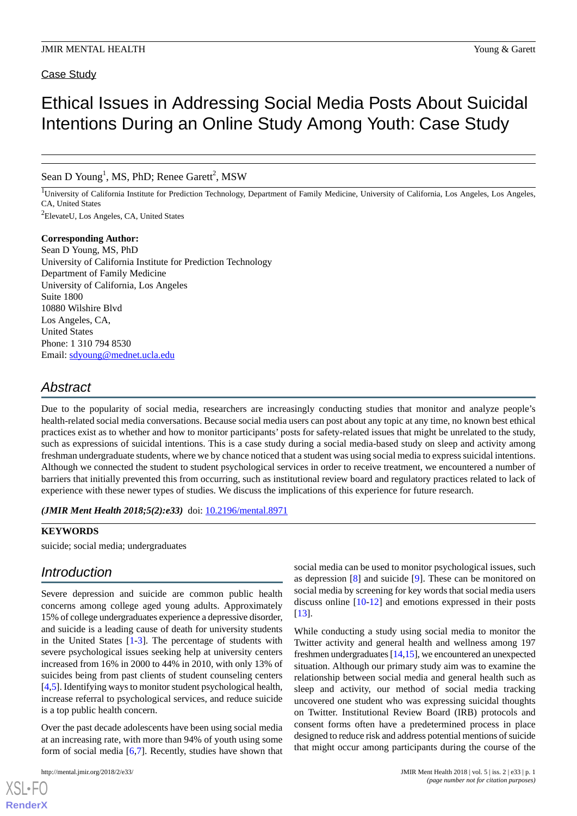### Case Study

# Ethical Issues in Addressing Social Media Posts About Suicidal Intentions During an Online Study Among Youth: Case Study

Sean D Young<sup>1</sup>, MS, PhD; Renee Garett<sup>2</sup>, MSW

<sup>1</sup>University of California Institute for Prediction Technology, Department of Family Medicine, University of California, Los Angeles, Los Angeles, CA, United States

<sup>2</sup>ElevateU, Los Angeles, CA, United States

### **Corresponding Author:**

Sean D Young, MS, PhD University of California Institute for Prediction Technology Department of Family Medicine University of California, Los Angeles Suite 1800 10880 Wilshire Blvd Los Angeles, CA, United States Phone: 1 310 794 8530 Email: [sdyoung@mednet.ucla.edu](mailto:sdyoung@mednet.ucla.edu)

# *Abstract*

Due to the popularity of social media, researchers are increasingly conducting studies that monitor and analyze people's health-related social media conversations. Because social media users can post about any topic at any time, no known best ethical practices exist as to whether and how to monitor participants' posts for safety-related issues that might be unrelated to the study, such as expressions of suicidal intentions. This is a case study during a social media-based study on sleep and activity among freshman undergraduate students, where we by chance noticed that a student was using social media to express suicidal intentions. Although we connected the student to student psychological services in order to receive treatment, we encountered a number of barriers that initially prevented this from occurring, such as institutional review board and regulatory practices related to lack of experience with these newer types of studies. We discuss the implications of this experience for future research.

*(JMIR Ment Health 2018;5(2):e33)* doi: [10.2196/mental.8971](http://dx.doi.org/10.2196/mental.8971)

#### **KEYWORDS**

suicide; social media; undergraduates

### *Introduction*

Severe depression and suicide are common public health concerns among college aged young adults. Approximately 15% of college undergraduates experience a depressive disorder, and suicide is a leading cause of death for university students in the United States [[1-](#page-3-0)[3](#page-3-1)]. The percentage of students with severe psychological issues seeking help at university centers increased from 16% in 2000 to 44% in 2010, with only 13% of suicides being from past clients of student counseling centers [[4](#page-3-2)[,5](#page-3-3)]. Identifying ways to monitor student psychological health, increase referral to psychological services, and reduce suicide is a top public health concern.

Over the past decade adolescents have been using social media at an increasing rate, with more than 94% of youth using some form of social media [[6](#page-3-4)[,7](#page-3-5)]. Recently, studies have shown that

social media can be used to monitor psychological issues, such as depression [\[8](#page-3-6)] and suicide [\[9](#page-3-7)]. These can be monitored on social media by screening for key words that social media users discuss online [[10](#page-3-8)[-12](#page-3-9)] and emotions expressed in their posts [[13\]](#page-3-10).

While conducting a study using social media to monitor the Twitter activity and general health and wellness among 197 freshmen undergraduates [[14,](#page-3-11)[15\]](#page-3-12), we encountered an unexpected situation. Although our primary study aim was to examine the relationship between social media and general health such as sleep and activity, our method of social media tracking uncovered one student who was expressing suicidal thoughts on Twitter. Institutional Review Board (IRB) protocols and consent forms often have a predetermined process in place designed to reduce risk and address potential mentions of suicide that might occur among participants during the course of the

[XSL](http://www.w3.org/Style/XSL)•FO **[RenderX](http://www.renderx.com/)**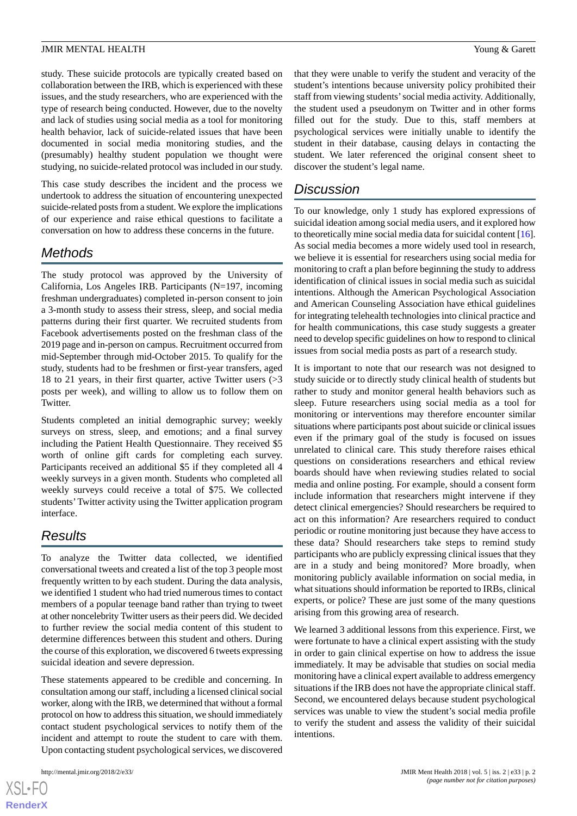#### **JMIR MENTAL HEALTH** YOUNG THE SERVICE SERVICE STATES AND THE SERVICE STATES OF STATES AND THE SERVICE STATES OF STATES AND THE SERVICE STATES OF STATES AND THE SERVICE STATES OF STATES AND THE SERVICE STATES OF STATES AND

study. These suicide protocols are typically created based on collaboration between the IRB, which is experienced with these issues, and the study researchers, who are experienced with the type of research being conducted. However, due to the novelty and lack of studies using social media as a tool for monitoring health behavior, lack of suicide-related issues that have been documented in social media monitoring studies, and the (presumably) healthy student population we thought were studying, no suicide-related protocol was included in our study.

This case study describes the incident and the process we undertook to address the situation of encountering unexpected suicide-related posts from a student. We explore the implications of our experience and raise ethical questions to facilitate a conversation on how to address these concerns in the future.

# *Methods*

The study protocol was approved by the University of California, Los Angeles IRB. Participants (N=197, incoming freshman undergraduates) completed in-person consent to join a 3-month study to assess their stress, sleep, and social media patterns during their first quarter. We recruited students from Facebook advertisements posted on the freshman class of the 2019 page and in-person on campus. Recruitment occurred from mid-September through mid-October 2015. To qualify for the study, students had to be freshmen or first-year transfers, aged 18 to 21 years, in their first quarter, active Twitter users (>3 posts per week), and willing to allow us to follow them on Twitter.

Students completed an initial demographic survey; weekly surveys on stress, sleep, and emotions; and a final survey including the Patient Health Questionnaire. They received \$5 worth of online gift cards for completing each survey. Participants received an additional \$5 if they completed all 4 weekly surveys in a given month. Students who completed all weekly surveys could receive a total of \$75. We collected students'Twitter activity using the Twitter application program interface.

# *Results*

To analyze the Twitter data collected, we identified conversational tweets and created a list of the top 3 people most frequently written to by each student. During the data analysis, we identified 1 student who had tried numerous times to contact members of a popular teenage band rather than trying to tweet at other noncelebrity Twitter users as their peers did. We decided to further review the social media content of this student to determine differences between this student and others. During the course of this exploration, we discovered 6 tweets expressing suicidal ideation and severe depression.

These statements appeared to be credible and concerning. In consultation among our staff, including a licensed clinical social worker, along with the IRB, we determined that without a formal protocol on how to address this situation, we should immediately contact student psychological services to notify them of the incident and attempt to route the student to care with them. Upon contacting student psychological services, we discovered

 $XSI - F($ **[RenderX](http://www.renderx.com/)** that they were unable to verify the student and veracity of the student's intentions because university policy prohibited their staff from viewing students'social media activity. Additionally, the student used a pseudonym on Twitter and in other forms filled out for the study. Due to this, staff members at psychological services were initially unable to identify the student in their database, causing delays in contacting the student. We later referenced the original consent sheet to discover the student's legal name.

# *Discussion*

To our knowledge, only 1 study has explored expressions of suicidal ideation among social media users, and it explored how to theoretically mine social media data for suicidal content [\[16](#page-3-13)]. As social media becomes a more widely used tool in research, we believe it is essential for researchers using social media for monitoring to craft a plan before beginning the study to address identification of clinical issues in social media such as suicidal intentions. Although the American Psychological Association and American Counseling Association have ethical guidelines for integrating telehealth technologies into clinical practice and for health communications, this case study suggests a greater need to develop specific guidelines on how to respond to clinical issues from social media posts as part of a research study.

It is important to note that our research was not designed to study suicide or to directly study clinical health of students but rather to study and monitor general health behaviors such as sleep. Future researchers using social media as a tool for monitoring or interventions may therefore encounter similar situations where participants post about suicide or clinical issues even if the primary goal of the study is focused on issues unrelated to clinical care. This study therefore raises ethical questions on considerations researchers and ethical review boards should have when reviewing studies related to social media and online posting. For example, should a consent form include information that researchers might intervene if they detect clinical emergencies? Should researchers be required to act on this information? Are researchers required to conduct periodic or routine monitoring just because they have access to these data? Should researchers take steps to remind study participants who are publicly expressing clinical issues that they are in a study and being monitored? More broadly, when monitoring publicly available information on social media, in what situations should information be reported to IRBs, clinical experts, or police? These are just some of the many questions arising from this growing area of research.

We learned 3 additional lessons from this experience. First, we were fortunate to have a clinical expert assisting with the study in order to gain clinical expertise on how to address the issue immediately. It may be advisable that studies on social media monitoring have a clinical expert available to address emergency situations if the IRB does not have the appropriate clinical staff. Second, we encountered delays because student psychological services was unable to view the student's social media profile to verify the student and assess the validity of their suicidal intentions.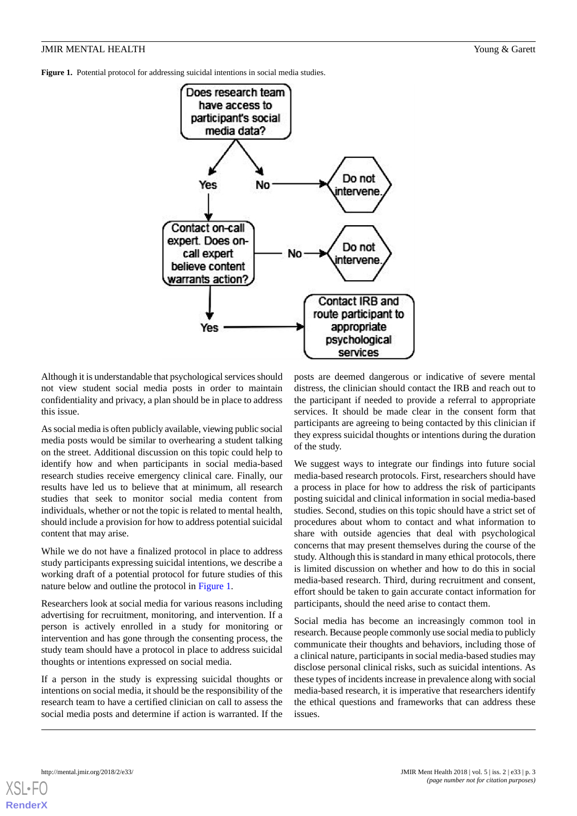#### **JMIR MENTAL HEALTH** YOUNG THE SERVICE SERVICE STATES AND THE SERVICE STATES OF STATES AND THE SERVICE STATES OF STATES AND THE SERVICE STATES OF STATES AND THE SERVICE STATES OF STATES AND THE SERVICE STATES OF STATES AND

<span id="page-2-0"></span>**Figure 1.** Potential protocol for addressing suicidal intentions in social media studies.



Although it is understandable that psychological services should not view student social media posts in order to maintain confidentiality and privacy, a plan should be in place to address this issue.

As social media is often publicly available, viewing public social media posts would be similar to overhearing a student talking on the street. Additional discussion on this topic could help to identify how and when participants in social media-based research studies receive emergency clinical care. Finally, our results have led us to believe that at minimum, all research studies that seek to monitor social media content from individuals, whether or not the topic is related to mental health, should include a provision for how to address potential suicidal content that may arise.

While we do not have a finalized protocol in place to address study participants expressing suicidal intentions, we describe a working draft of a potential protocol for future studies of this nature below and outline the protocol in [Figure 1](#page-2-0).

Researchers look at social media for various reasons including advertising for recruitment, monitoring, and intervention. If a person is actively enrolled in a study for monitoring or intervention and has gone through the consenting process, the study team should have a protocol in place to address suicidal thoughts or intentions expressed on social media.

If a person in the study is expressing suicidal thoughts or intentions on social media, it should be the responsibility of the research team to have a certified clinician on call to assess the social media posts and determine if action is warranted. If the

posts are deemed dangerous or indicative of severe mental distress, the clinician should contact the IRB and reach out to the participant if needed to provide a referral to appropriate services. It should be made clear in the consent form that participants are agreeing to being contacted by this clinician if they express suicidal thoughts or intentions during the duration of the study.

We suggest ways to integrate our findings into future social media-based research protocols. First, researchers should have a process in place for how to address the risk of participants posting suicidal and clinical information in social media-based studies. Second, studies on this topic should have a strict set of procedures about whom to contact and what information to share with outside agencies that deal with psychological concerns that may present themselves during the course of the study. Although this is standard in many ethical protocols, there is limited discussion on whether and how to do this in social media-based research. Third, during recruitment and consent, effort should be taken to gain accurate contact information for participants, should the need arise to contact them.

Social media has become an increasingly common tool in research. Because people commonly use social media to publicly communicate their thoughts and behaviors, including those of a clinical nature, participants in social media-based studies may disclose personal clinical risks, such as suicidal intentions. As these types of incidents increase in prevalence along with social media-based research, it is imperative that researchers identify the ethical questions and frameworks that can address these issues.

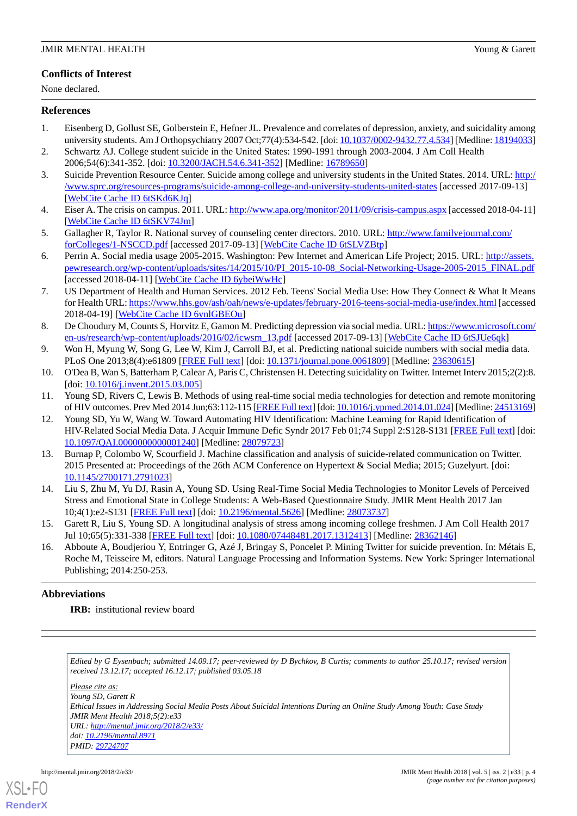### **Conflicts of Interest**

None declared.

#### <span id="page-3-0"></span>**References**

- 1. Eisenberg D, Gollust SE, Golberstein E, Hefner JL. Prevalence and correlates of depression, anxiety, and suicidality among university students. Am J Orthopsychiatry 2007 Oct;77(4):534-542. [doi: [10.1037/0002-9432.77.4.534\]](http://dx.doi.org/10.1037/0002-9432.77.4.534) [Medline: [18194033\]](http://www.ncbi.nlm.nih.gov/entrez/query.fcgi?cmd=Retrieve&db=PubMed&list_uids=18194033&dopt=Abstract)
- <span id="page-3-1"></span>2. Schwartz AJ. College student suicide in the United States: 1990-1991 through 2003-2004. J Am Coll Health 2006;54(6):341-352. [doi: [10.3200/JACH.54.6.341-352\]](http://dx.doi.org/10.3200/JACH.54.6.341-352) [Medline: [16789650](http://www.ncbi.nlm.nih.gov/entrez/query.fcgi?cmd=Retrieve&db=PubMed&list_uids=16789650&dopt=Abstract)]
- <span id="page-3-2"></span>3. Suicide Prevention Resource Center. Suicide among college and university students in the United States. 2014. URL: [http:/](http://www.sprc.org/resources-programs/suicide-among-college-and-university-students-united-states) [/www.sprc.org/resources-programs/suicide-among-college-and-university-students-united-states](http://www.sprc.org/resources-programs/suicide-among-college-and-university-students-united-states) [accessed 2017-09-13] [[WebCite Cache ID 6tSKd6KJq](http://www.webcitation.org/

                                6tSKd6KJq)]
- <span id="page-3-3"></span>4. Eiser A. The crisis on campus. 2011. URL:<http://www.apa.org/monitor/2011/09/crisis-campus.aspx> [accessed 2018-04-11] [[WebCite Cache ID 6tSKV74Jm](http://www.webcitation.org/

                                6tSKV74Jm)]
- <span id="page-3-4"></span>5. Gallagher R, Taylor R. National survey of counseling center directors. 2010. URL: [http://www.familyejournal.com/](http://www.familyejournal.com/forColleges/1-NSCCD.pdf) [forColleges/1-NSCCD.pdf](http://www.familyejournal.com/forColleges/1-NSCCD.pdf) [accessed 2017-09-13] [\[WebCite Cache ID 6tSLVZBtp](http://www.webcitation.org/

                                6tSLVZBtp)]
- <span id="page-3-5"></span>6. Perrin A. Social media usage 2005-2015. Washington: Pew Internet and American Life Project; 2015. URL: [http://assets.](http://assets.pewresearch.org/wp-content/uploads/sites/14/2015/10/PI_2015-10-08_Social-Networking-Usage-2005-2015_FINAL.pdf) [pewresearch.org/wp-content/uploads/sites/14/2015/10/PI\\_2015-10-08\\_Social-Networking-Usage-2005-2015\\_FINAL.pdf](http://assets.pewresearch.org/wp-content/uploads/sites/14/2015/10/PI_2015-10-08_Social-Networking-Usage-2005-2015_FINAL.pdf) [accessed 2018-04-11] [\[WebCite Cache ID 6ybeiWwHc\]](http://www.webcitation.org/

                                6ybeiWwHc)
- <span id="page-3-6"></span>7. US Department of Health and Human Services. 2012 Feb. Teens' Social Media Use: How They Connect & What It Means for Health URL:<https://www.hhs.gov/ash/oah/news/e-updates/february-2016-teens-social-media-use/index.html> [accessed 2018-04-19] [\[WebCite Cache ID 6ynlGBEOu](http://www.webcitation.org/

                                6ynlGBEOu)]
- <span id="page-3-8"></span><span id="page-3-7"></span>8. De Choudury M, Counts S, Horvitz E, Gamon M. Predicting depression via social media. URL: [https://www.microsoft.com/](https://www.microsoft.com/en-us/research/wp-content/uploads/2016/02/icwsm_13.pdf) [en-us/research/wp-content/uploads/2016/02/icwsm\\_13.pdf](https://www.microsoft.com/en-us/research/wp-content/uploads/2016/02/icwsm_13.pdf) [accessed 2017-09-13] [\[WebCite Cache ID 6tSJUe6qk](http://www.webcitation.org/

                                6tSJUe6qk)]
- 9. Won H, Myung W, Song G, Lee W, Kim J, Carroll BJ, et al. Predicting national suicide numbers with social media data. PLoS One 2013;8(4):e61809 [[FREE Full text](http://dx.plos.org/10.1371/journal.pone.0061809)] [doi: [10.1371/journal.pone.0061809\]](http://dx.doi.org/10.1371/journal.pone.0061809) [Medline: [23630615](http://www.ncbi.nlm.nih.gov/entrez/query.fcgi?cmd=Retrieve&db=PubMed&list_uids=23630615&dopt=Abstract)]
- <span id="page-3-9"></span>10. O'Dea B, Wan S, Batterham P, Calear A, Paris C, Christensen H. Detecting suicidality on Twitter. Internet Interv 2015;2(2):8. [doi: [10.1016/j.invent.2015.03.005](http://dx.doi.org/10.1016/j.invent.2015.03.005)]
- 11. Young SD, Rivers C, Lewis B. Methods of using real-time social media technologies for detection and remote monitoring of HIV outcomes. Prev Med 2014 Jun;63:112-115 [[FREE Full text](http://europepmc.org/abstract/MED/24513169)] [doi: [10.1016/j.ypmed.2014.01.024\]](http://dx.doi.org/10.1016/j.ypmed.2014.01.024) [Medline: [24513169\]](http://www.ncbi.nlm.nih.gov/entrez/query.fcgi?cmd=Retrieve&db=PubMed&list_uids=24513169&dopt=Abstract)
- <span id="page-3-10"></span>12. Young SD, Yu W, Wang W. Toward Automating HIV Identification: Machine Learning for Rapid Identification of HIV-Related Social Media Data. J Acquir Immune Defic Syndr 2017 Feb 01;74 Suppl 2:S128-S131 [\[FREE Full text](http://europepmc.org/abstract/MED/28079723)] [doi: [10.1097/QAI.0000000000001240](http://dx.doi.org/10.1097/QAI.0000000000001240)] [Medline: [28079723\]](http://www.ncbi.nlm.nih.gov/entrez/query.fcgi?cmd=Retrieve&db=PubMed&list_uids=28079723&dopt=Abstract)
- <span id="page-3-12"></span><span id="page-3-11"></span>13. Burnap P, Colombo W, Scourfield J. Machine classification and analysis of suicide-related communication on Twitter. 2015 Presented at: Proceedings of the 26th ACM Conference on Hypertext & Social Media; 2015; Guzelyurt. [doi: [10.1145/2700171.2791023](http://dx.doi.org/10.1145/2700171.2791023)]
- <span id="page-3-13"></span>14. Liu S, Zhu M, Yu DJ, Rasin A, Young SD. Using Real-Time Social Media Technologies to Monitor Levels of Perceived Stress and Emotional State in College Students: A Web-Based Questionnaire Study. JMIR Ment Health 2017 Jan 10;4(1):e2-S131 [[FREE Full text](http://mental.jmir.org/2017/1/e2/)] [doi: [10.2196/mental.5626](http://dx.doi.org/10.2196/mental.5626)] [Medline: [28073737](http://www.ncbi.nlm.nih.gov/entrez/query.fcgi?cmd=Retrieve&db=PubMed&list_uids=28073737&dopt=Abstract)]
- 15. Garett R, Liu S, Young SD. A longitudinal analysis of stress among incoming college freshmen. J Am Coll Health 2017 Jul 10;65(5):331-338 [\[FREE Full text\]](http://mental.jmir.org/2017/1/e2/) [doi: [10.1080/07448481.2017.1312413\]](http://dx.doi.org/10.1080/07448481.2017.1312413) [Medline: [28362146\]](http://www.ncbi.nlm.nih.gov/entrez/query.fcgi?cmd=Retrieve&db=PubMed&list_uids=28362146&dopt=Abstract)
- 16. Abboute A, Boudjeriou Y, Entringer G, Azé J, Bringay S, Poncelet P. Mining Twitter for suicide prevention. In: Métais E, Roche M, Teisseire M, editors. Natural Language Processing and Information Systems. New York: Springer International Publishing; 2014:250-253.

### **Abbreviations**

**IRB:** institutional review board

*Edited by G Eysenbach; submitted 14.09.17; peer-reviewed by D Bychkov, B Curtis; comments to author 25.10.17; revised version received 13.12.17; accepted 16.12.17; published 03.05.18*

*Please cite as: Young SD, Garett R Ethical Issues in Addressing Social Media Posts About Suicidal Intentions During an Online Study Among Youth: Case Study JMIR Ment Health 2018;5(2):e33 URL: <http://mental.jmir.org/2018/2/e33/> doi: [10.2196/mental.8971](http://dx.doi.org/10.2196/mental.8971) PMID: [29724707](http://www.ncbi.nlm.nih.gov/entrez/query.fcgi?cmd=Retrieve&db=PubMed&list_uids=29724707&dopt=Abstract)*